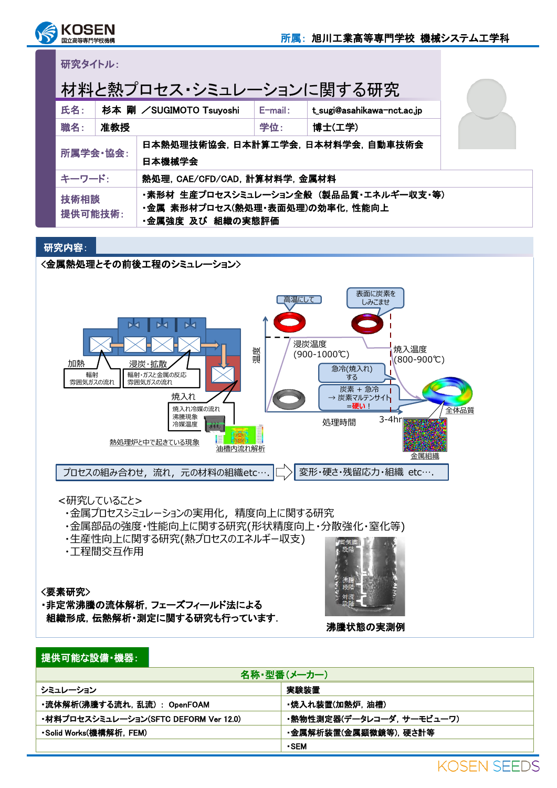

## 研究タイトル:

| 材料と熱プロセス・シミュレーションに関する研究 |     |                                                                                                      |            |                            |  |  |
|-------------------------|-----|------------------------------------------------------------------------------------------------------|------------|----------------------------|--|--|
| 氏名:                     |     | 杉本 剛 /SUGIMOTO Tsuyoshi                                                                              | $E$ -mail: | t_sugi@asahikawa-nct.ac.jp |  |  |
| 職名:                     | 准教授 |                                                                                                      | 学位:        | 博士(工学)                     |  |  |
| 所属学会·協会:                |     | 日本熱処理技術協会, 日本計算工学会, 日本材料学会, 自動車技術会<br>日本機械学会                                                         |            |                            |  |  |
| キーワード:                  |     | 熱処理, CAE/CFD/CAD, 計算材料学, 金属材料                                                                        |            |                            |  |  |
| 技術相談<br>提供可能技術:         |     | ・素形材 生産プロセスシミュレーション全般 (製品品質・エネルギー収支・等)<br>・金属 素形材プロセス(熱処理・表面処理)の効率化. 性能向上<br><b>・金属強度 及び 組織の実態評価</b> |            |                            |  |  |

## 研究内容:

<金属熱処理とその前後工程のシミュレーション>



## <研究していること>

- ・金属プロセスシミュレーションの実用化,精度向上に関する研究
- ・金属部品の強度・性能向上に関する研究(形状精度向上・分散強化・窒化等)
- ・生産性向上に関する研究(熱プロセスのエネルギー収支)
- ・工程間交互作用

#### <要素研究>

・非定常沸騰の流体解析,フェーズフィールド法による 組織形成,伝熱解析・測定に関する研究も行っています.



沸騰状態の実測例

## 提供可能な設備・機器:

| 名称・型番(メーカー)                           |                           |  |  |  |
|---------------------------------------|---------------------------|--|--|--|
| シミュレーション                              | 実験装置                      |  |  |  |
| ・流体解析(沸騰する流れ, 乱流):OpenFOAM            | ・焼入れ装置(加熱炉. 油槽)           |  |  |  |
| ・材料プロセスシミュレーション(SFTC DEFORM Ver 12.0) | ・熱物性測定器(データレコーダ. サーモビューワ) |  |  |  |
| ・Solid Works(機構解析, FEM)               | ・金属解析装置(金属顕微鏡等), 硬さ計等     |  |  |  |
|                                       | $\cdot$ SEM               |  |  |  |
|                                       | LACENT CEEDA              |  |  |  |